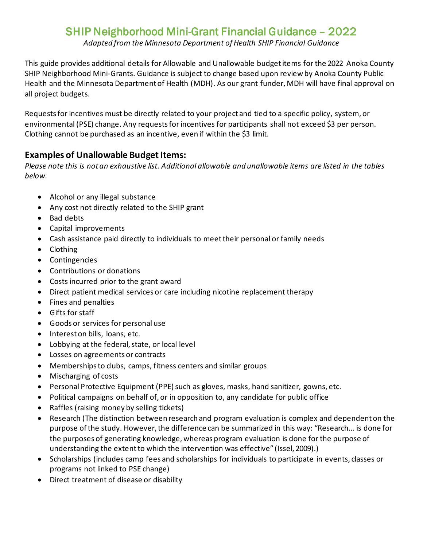## SHIP Neighborhood Mini-Grant Financial Guidance – 2022

*Adapted from the Minnesota Department of Health SHIP Financial Guidance*

This guide provides additional details for Allowable and Unallowable budget items for the 2022 Anoka County SHIP Neighborhood Mini-Grants. Guidance is subject to change based upon review by Anoka County Public Health and the Minnesota Department of Health (MDH). As our grant funder, MDH will have final approval on all project budgets.

Requests for incentives must be directly related to your project and tied to a specific policy, system, or environmental (PSE) change. Any requests for incentives for participants shall not exceed \$3 per person. Clothing cannot be purchased as an incentive, even if within the \$3 limit.

## **Examples of Unallowable Budget Items:**

*Please note this is not an exhaustive list. Additional allowable and unallowable items are listed in the tables below.* 

- Alcohol or any illegal substance
- Any cost not directly related to the SHIP grant
- Bad debts
- Capital improvements
- Cash assistance paid directly to individuals to meet their personal or family needs
- Clothing
- Contingencies
- Contributions or donations
- Costs incurred prior to the grant award
- Direct patient medical services or care including nicotine replacement therapy
- Fines and penalties
- Gifts for staff
- Goods or services for personal use
- Interest on bills, loans, etc.
- Lobbying at the federal, state, or local level
- Losses on agreements or contracts
- Memberships to clubs, camps, fitness centers and similar groups
- Mischarging of costs
- Personal Protective Equipment (PPE) such as gloves, masks, hand sanitizer, gowns, etc.
- Political campaigns on behalf of, or in opposition to, any candidate for public office
- Raffles (raising money by selling tickets)
- Research (The distinction between research and program evaluation is complex and dependent on the purpose of the study. However, the difference can be summarized in this way: "Research… is done for the purposes of generating knowledge, whereas program evaluation is done for the purpose of understanding the extent to which the intervention was effective" (Issel, 2009).)
- Scholarships (includes camp fees and scholarships for individuals to participate in events, classes or programs not linked to PSE change)
- Direct treatment of disease or disability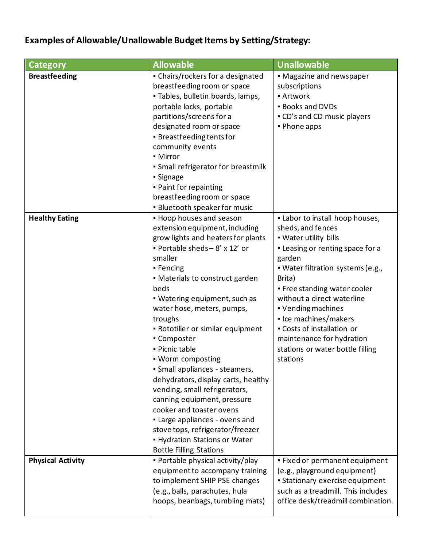## **Examples of Allowable/Unallowable Budget Items by Setting/Strategy:**

| <b>Category</b>          | <b>Allowable</b>                                                                                                                                                                                                                                                                                                                                                                                                                                                                                                                                                                                                                                                                             | <b>Unallowable</b>                                                                                                                                                                                                                                                                                                                                                                                 |
|--------------------------|----------------------------------------------------------------------------------------------------------------------------------------------------------------------------------------------------------------------------------------------------------------------------------------------------------------------------------------------------------------------------------------------------------------------------------------------------------------------------------------------------------------------------------------------------------------------------------------------------------------------------------------------------------------------------------------------|----------------------------------------------------------------------------------------------------------------------------------------------------------------------------------------------------------------------------------------------------------------------------------------------------------------------------------------------------------------------------------------------------|
| <b>Breastfeeding</b>     | • Chairs/rockers for a designated<br>breastfeeding room or space<br>. Tables, bulletin boards, lamps,<br>portable locks, portable<br>partitions/screens for a<br>designated room or space<br>• Breastfeeding tents for<br>community events<br>• Mirror<br>• Small refrigerator for breastmilk<br>• Signage<br>. Paint for repainting<br>breastfeeding room or space<br>· Bluetooth speaker for music                                                                                                                                                                                                                                                                                         | • Magazine and newspaper<br>subscriptions<br><b>- Artwork</b><br><b>Books and DVDs</b><br>• CD's and CD music players<br>• Phone apps                                                                                                                                                                                                                                                              |
| <b>Healthy Eating</b>    | • Hoop houses and season<br>extension equipment, including<br>grow lights and heaters for plants<br>Portable sheds $-8' \times 12'$ or<br>smaller<br>• Fencing<br>• Materials to construct garden<br>beds<br>. Watering equipment, such as<br>water hose, meters, pumps,<br>troughs<br>. Rototiller or similar equipment<br>• Composter<br>· Picnic table<br>. Worm composting<br>· Small appliances - steamers,<br>dehydrators, display carts, healthy<br>vending, small refrigerators,<br>canning equipment, pressure<br>cooker and toaster ovens<br>. Large appliances - ovens and<br>stove tops, refrigerator/freezer<br>- Hydration Stations or Water<br><b>Bottle Filling Stations</b> | . Labor to install hoop houses,<br>sheds, and fences<br>. Water utility bills<br>- Leasing or renting space for a<br>garden<br>• Water filtration systems (e.g.,<br>Brita)<br>. Free standing water cooler<br>without a direct waterline<br>• Vending machines<br>• Ice machines/makers<br>• Costs of installation or<br>maintenance for hydration<br>stations or water bottle filling<br>stations |
| <b>Physical Activity</b> | . Portable physical activity/play<br>equipment to accompany training<br>to implement SHIP PSE changes<br>(e.g., balls, parachutes, hula<br>hoops, beanbags, tumbling mats)                                                                                                                                                                                                                                                                                                                                                                                                                                                                                                                   | . Fixed or permanent equipment<br>(e.g., playground equipment)<br>• Stationary exercise equipment<br>such as a treadmill. This includes<br>office desk/treadmill combination.                                                                                                                                                                                                                      |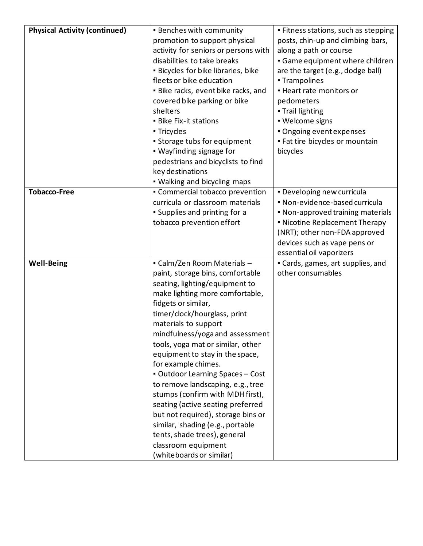| <b>Physical Activity (continued)</b> | <b>Benches with community</b>        | · Fitness stations, such as stepping |
|--------------------------------------|--------------------------------------|--------------------------------------|
|                                      | promotion to support physical        | posts, chin-up and climbing bars,    |
|                                      | activity for seniors or persons with | along a path or course               |
|                                      | disabilities to take breaks          | Game equipment where children        |
|                                      | · Bicycles for bike libraries, bike  | are the target (e.g., dodge ball)    |
|                                      | fleets or bike education             | - Trampolines                        |
|                                      | . Bike racks, event bike racks, and  | - Heart rate monitors or             |
|                                      | covered bike parking or bike         | pedometers                           |
|                                      | shelters                             | . Trail lighting                     |
|                                      | <b>Bike Fix-it stations</b>          | · Welcome signs                      |
|                                      | ■ Tricycles                          | · Ongoing event expenses             |
|                                      | • Storage tubs for equipment         | . Fat tire bicycles or mountain      |
|                                      | • Wayfinding signage for             | bicycles                             |
|                                      | pedestrians and bicyclists to find   |                                      |
|                                      | key destinations                     |                                      |
|                                      | . Walking and bicycling maps         |                                      |
| <b>Tobacco-Free</b>                  | • Commercial tobacco prevention      | . Developing new curricula           |
|                                      | curricula or classroom materials     | · Non-evidence-based curricula       |
|                                      | • Supplies and printing for a        | • Non-approved training materials    |
|                                      | tobacco prevention effort            | • Nicotine Replacement Therapy       |
|                                      |                                      | (NRT); other non-FDA approved        |
|                                      |                                      | devices such as vape pens or         |
|                                      |                                      | essential oil vaporizers             |
| <b>Well-Being</b>                    | - Calm/Zen Room Materials -          | • Cards, games, art supplies, and    |
|                                      | paint, storage bins, comfortable     | other consumables                    |
|                                      | seating, lighting/equipment to       |                                      |
|                                      | make lighting more comfortable,      |                                      |
|                                      | fidgets or similar,                  |                                      |
|                                      | timer/clock/hourglass, print         |                                      |
|                                      | materials to support                 |                                      |
|                                      | mindfulness/yoga and assessment      |                                      |
|                                      | tools, yoga mat or similar, other    |                                      |
|                                      | equipment to stay in the space,      |                                      |
|                                      | for example chimes.                  |                                      |
|                                      | • Outdoor Learning Spaces - Cost     |                                      |
|                                      | to remove landscaping, e.g., tree    |                                      |
|                                      | stumps (confirm with MDH first),     |                                      |
|                                      | seating (active seating preferred    |                                      |
|                                      | but not required), storage bins or   |                                      |
|                                      | similar, shading (e.g., portable     |                                      |
|                                      | tents, shade trees), general         |                                      |
|                                      | classroom equipment                  |                                      |
|                                      | (whiteboards or similar)             |                                      |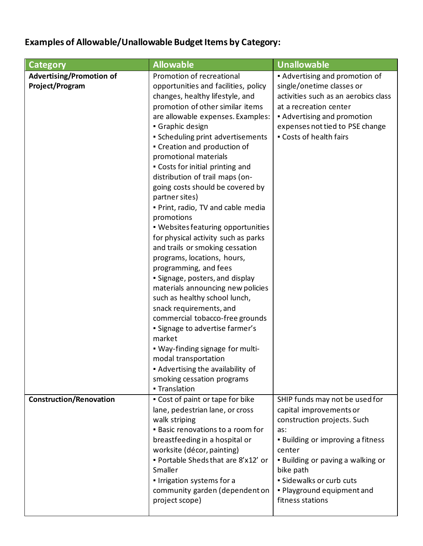## **Examples of Allowable/Unallowable Budget Items by Category:**

| Category                                           | <b>Allowable</b>                                                                                                                                                                                                                                                                                                                                                                                                                                                                                                                                                                                                                                                                                                                                                                                                                                                                                                                       | <b>Unallowable</b>                                                                                                                                                                                                                                                             |
|----------------------------------------------------|----------------------------------------------------------------------------------------------------------------------------------------------------------------------------------------------------------------------------------------------------------------------------------------------------------------------------------------------------------------------------------------------------------------------------------------------------------------------------------------------------------------------------------------------------------------------------------------------------------------------------------------------------------------------------------------------------------------------------------------------------------------------------------------------------------------------------------------------------------------------------------------------------------------------------------------|--------------------------------------------------------------------------------------------------------------------------------------------------------------------------------------------------------------------------------------------------------------------------------|
| <b>Advertising/Promotion of</b><br>Project/Program | Promotion of recreational<br>opportunities and facilities, policy<br>changes, healthy lifestyle, and<br>promotion of other similar items<br>are allowable expenses. Examples:<br>Graphic design<br>• Scheduling print advertisements<br>• Creation and production of<br>promotional materials<br>. Costs for initial printing and<br>distribution of trail maps (on-<br>going costs should be covered by<br>partner sites)<br>. Print, radio, TV and cable media<br>promotions<br>. Websites featuring opportunities<br>for physical activity such as parks<br>and trails or smoking cessation<br>programs, locations, hours,<br>programming, and fees<br>• Signage, posters, and display<br>materials announcing new policies<br>such as healthy school lunch,<br>snack requirements, and<br>commercial tobacco-free grounds<br>• Signage to advertise farmer's<br>market<br>. Way-finding signage for multi-<br>modal transportation | • Advertising and promotion of<br>single/onetime classes or<br>activities such as an aerobics class<br>at a recreation center<br>Advertising and promotion<br>expenses not tied to PSE change<br>• Costs of health fairs                                                       |
|                                                    | • Advertising the availability of<br>smoking cessation programs<br>- Translation                                                                                                                                                                                                                                                                                                                                                                                                                                                                                                                                                                                                                                                                                                                                                                                                                                                       |                                                                                                                                                                                                                                                                                |
| <b>Construction/Renovation</b>                     | • Cost of paint or tape for bike<br>lane, pedestrian lane, or cross<br>walk striping<br>. Basic renovations to a room for<br>breastfeeding in a hospital or<br>worksite (décor, painting)<br>. Portable Sheds that are 8'x12' or<br>Smaller<br>. Irrigation systems for a<br>community garden (dependent on<br>project scope)                                                                                                                                                                                                                                                                                                                                                                                                                                                                                                                                                                                                          | SHIP funds may not be used for<br>capital improvements or<br>construction projects. Such<br>as:<br>. Building or improving a fitness<br>center<br>. Building or paving a walking or<br>bike path<br>· Sidewalks or curb cuts<br>. Playground equipment and<br>fitness stations |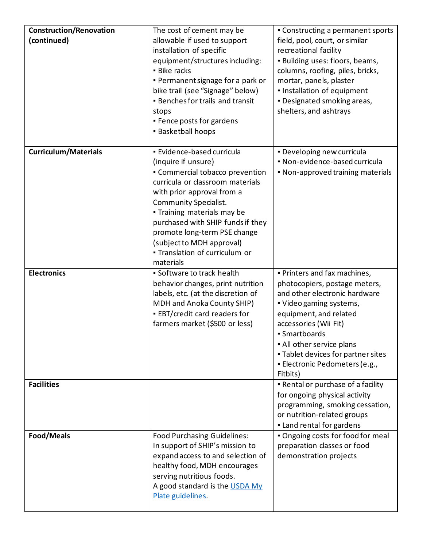| <b>Construction/Renovation</b> | The cost of cement may be                           | • Constructing a permanent sports  |
|--------------------------------|-----------------------------------------------------|------------------------------------|
| (continued)                    | allowable if used to support                        | field, pool, court, or similar     |
|                                | installation of specific                            | recreational facility              |
|                                | equipment/structures including:                     | · Building uses: floors, beams,    |
|                                | <b>Bike racks</b>                                   | columns, roofing, piles, bricks,   |
|                                | • Permanent signage for a park or                   | mortar, panels, plaster            |
|                                | bike trail (see "Signage" below)                    | . Installation of equipment        |
|                                | <b>Benches for trails and transit</b>               | . Designated smoking areas,        |
|                                | stops                                               | shelters, and ashtrays             |
|                                | • Fence posts for gardens                           |                                    |
|                                | <b>Basketball hoops</b>                             |                                    |
|                                |                                                     |                                    |
| <b>Curriculum/Materials</b>    | · Evidence-based curricula                          | . Developing new curricula         |
|                                | (inquire if unsure)                                 | · Non-evidence-based curricula     |
|                                | • Commercial tobacco prevention                     | . Non-approved training materials  |
|                                | curricula or classroom materials                    |                                    |
|                                | with prior approval from a                          |                                    |
|                                | <b>Community Specialist.</b>                        |                                    |
|                                | . Training materials may be                         |                                    |
|                                | purchased with SHIP funds if they                   |                                    |
|                                | promote long-term PSE change                        |                                    |
|                                | (subject to MDH approval)                           |                                    |
|                                | - Translation of curriculum or                      |                                    |
|                                | materials                                           |                                    |
|                                |                                                     |                                    |
| <b>Electronics</b>             | · Software to track health                          | . Printers and fax machines,       |
|                                | behavior changes, print nutrition                   | photocopiers, postage meters,      |
|                                | labels, etc. (at the discretion of                  | and other electronic hardware      |
|                                | MDH and Anoka County SHIP)                          | • Video gaming systems,            |
|                                | <b>EBT/credit card readers for</b>                  | equipment, and related             |
|                                | farmers market (\$500 or less)                      | accessories (Wii Fit)              |
|                                |                                                     | • Smartboards                      |
|                                |                                                     | . All other service plans          |
|                                |                                                     | . Tablet devices for partner sites |
|                                |                                                     | · Electronic Pedometers (e.g.,     |
|                                |                                                     | Fitbits)                           |
| <b>Facilities</b>              |                                                     | . Rental or purchase of a facility |
|                                |                                                     | for ongoing physical activity      |
|                                |                                                     | programming, smoking cessation,    |
|                                |                                                     | or nutrition-related groups        |
|                                |                                                     | . Land rental for gardens          |
| Food/Meals                     | <b>Food Purchasing Guidelines:</b>                  | . Ongoing costs for food for meal  |
|                                | In support of SHIP's mission to                     | preparation classes or food        |
|                                | expand access to and selection of                   | demonstration projects             |
|                                | healthy food, MDH encourages                        |                                    |
|                                | serving nutritious foods.                           |                                    |
|                                | A good standard is the USDA My<br>Plate guidelines. |                                    |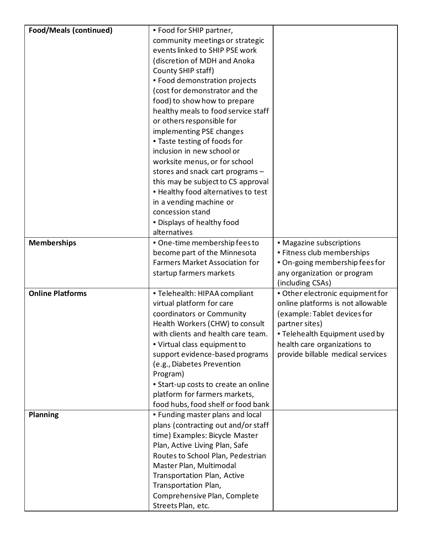| <b>Food/Meals (continued)</b> | . Food for SHIP partner,                                               |                                   |
|-------------------------------|------------------------------------------------------------------------|-----------------------------------|
|                               | community meetings or strategic                                        |                                   |
|                               | events linked to SHIP PSE work                                         |                                   |
|                               | (discretion of MDH and Anoka                                           |                                   |
|                               | County SHIP staff)                                                     |                                   |
|                               | • Food demonstration projects                                          |                                   |
|                               | (cost for demonstrator and the                                         |                                   |
|                               | food) to show how to prepare                                           |                                   |
|                               | healthy meals to food service staff                                    |                                   |
|                               | or others responsible for                                              |                                   |
|                               | implementing PSE changes                                               |                                   |
|                               | . Taste testing of foods for                                           |                                   |
|                               | inclusion in new school or                                             |                                   |
|                               | worksite menus, or for school                                          |                                   |
|                               | stores and snack cart programs -                                       |                                   |
|                               | this may be subject to CS approval                                     |                                   |
|                               | . Healthy food alternatives to test                                    |                                   |
|                               | in a vending machine or                                                |                                   |
|                               | concession stand                                                       |                                   |
|                               | . Displays of healthy food                                             |                                   |
|                               | alternatives                                                           |                                   |
| <b>Memberships</b>            | . One-time membership fees to                                          | • Magazine subscriptions          |
|                               | become part of the Minnesota                                           | · Fitness club memberships        |
|                               | <b>Farmers Market Association for</b>                                  | . On-going membership fees for    |
|                               | startup farmers markets                                                | any organization or program       |
|                               |                                                                        | (including CSAs)                  |
| <b>Online Platforms</b>       | · Telehealth: HIPAA compliant                                          | · Other electronic equipment for  |
|                               | virtual platform for care                                              | online platforms is not allowable |
|                               | coordinators or Community                                              | (example: Tablet devices for      |
|                               | Health Workers (CHW) to consult                                        | partner sites)                    |
|                               | with clients and health care team.                                     | . Telehealth Equipment used by    |
|                               | • Virtual class equipment to                                           | health care organizations to      |
|                               | support evidence-based programs                                        | provide billable medical services |
|                               | (e.g., Diabetes Prevention                                             |                                   |
|                               | Program)                                                               |                                   |
|                               | • Start-up costs to create an online                                   |                                   |
|                               | platform for farmers markets,                                          |                                   |
| Planning                      | food hubs, food shelf or food bank<br>. Funding master plans and local |                                   |
|                               | plans (contracting out and/or staff                                    |                                   |
|                               | time) Examples: Bicycle Master                                         |                                   |
|                               | Plan, Active Living Plan, Safe                                         |                                   |
|                               | Routes to School Plan, Pedestrian                                      |                                   |
|                               | Master Plan, Multimodal                                                |                                   |
|                               | Transportation Plan, Active                                            |                                   |
|                               | Transportation Plan,                                                   |                                   |
|                               | Comprehensive Plan, Complete                                           |                                   |
|                               |                                                                        |                                   |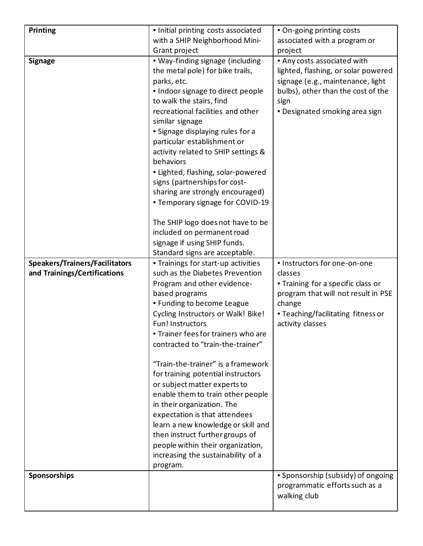| Printing                                                              | . Initial printing costs associated                                                                                                                                                                                                                                                                                                                                                                                                                                                                                                                                                                                                                             | • On-going printing costs                                                                                                                                                                        |
|-----------------------------------------------------------------------|-----------------------------------------------------------------------------------------------------------------------------------------------------------------------------------------------------------------------------------------------------------------------------------------------------------------------------------------------------------------------------------------------------------------------------------------------------------------------------------------------------------------------------------------------------------------------------------------------------------------------------------------------------------------|--------------------------------------------------------------------------------------------------------------------------------------------------------------------------------------------------|
|                                                                       | with a SHIP Neighborhood Mini-                                                                                                                                                                                                                                                                                                                                                                                                                                                                                                                                                                                                                                  | associated with a program or                                                                                                                                                                     |
|                                                                       |                                                                                                                                                                                                                                                                                                                                                                                                                                                                                                                                                                                                                                                                 |                                                                                                                                                                                                  |
| <b>Signage</b>                                                        | Grant project<br>• Way-finding signage (including<br>the metal pole) for bike trails,<br>parks, etc.<br>. Indoor signage to direct people<br>to walk the stairs, find<br>recreational facilities and other<br>similar signage<br>· Signage displaying rules for a<br>particular establishment or<br>activity related to SHIP settings &<br>behaviors<br>· Lighted, flashing, solar-powered<br>signs (partnerships for cost-<br>sharing are strongly encouraged)<br>• Temporary signage for COVID-19<br>The SHIP logo does not have to be<br>included on permanent road<br>signage if using SHIP funds.                                                          | project<br>Any costs associated with<br>lighted, flashing, or solar powered<br>signage (e.g., maintenance, light<br>bulbs), other than the cost of the<br>sign<br>. Designated smoking area sign |
|                                                                       | Standard signs are acceptable.                                                                                                                                                                                                                                                                                                                                                                                                                                                                                                                                                                                                                                  |                                                                                                                                                                                                  |
| <b>Speakers/Trainers/Facilitators</b><br>and Trainings/Certifications | - Trainings for start-up activities<br>such as the Diabetes Prevention<br>Program and other evidence-<br>based programs<br>. Funding to become League<br>Cycling Instructors or Walk! Bike!<br>Fun! Instructors<br>. Trainer fees for trainers who are<br>contracted to "train-the-trainer"<br>"Train-the-trainer" is a framework<br>for training potential instructors<br>or subject matter experts to<br>enable them to train other people<br>in their organization. The<br>expectation is that attendees<br>learn a new knowledge or skill and<br>then instruct further groups of<br>people within their organization,<br>increasing the sustainability of a | · Instructors for one-on-one<br>classes<br>• Training for a specific class or<br>program that will not result in PSE<br>change<br>• Teaching/facilitating fitness or<br>activity classes         |
| Sponsorships                                                          | program.                                                                                                                                                                                                                                                                                                                                                                                                                                                                                                                                                                                                                                                        | • Sponsorship (subsidy) of ongoing                                                                                                                                                               |
|                                                                       |                                                                                                                                                                                                                                                                                                                                                                                                                                                                                                                                                                                                                                                                 | programmatic efforts such as a<br>walking club                                                                                                                                                   |